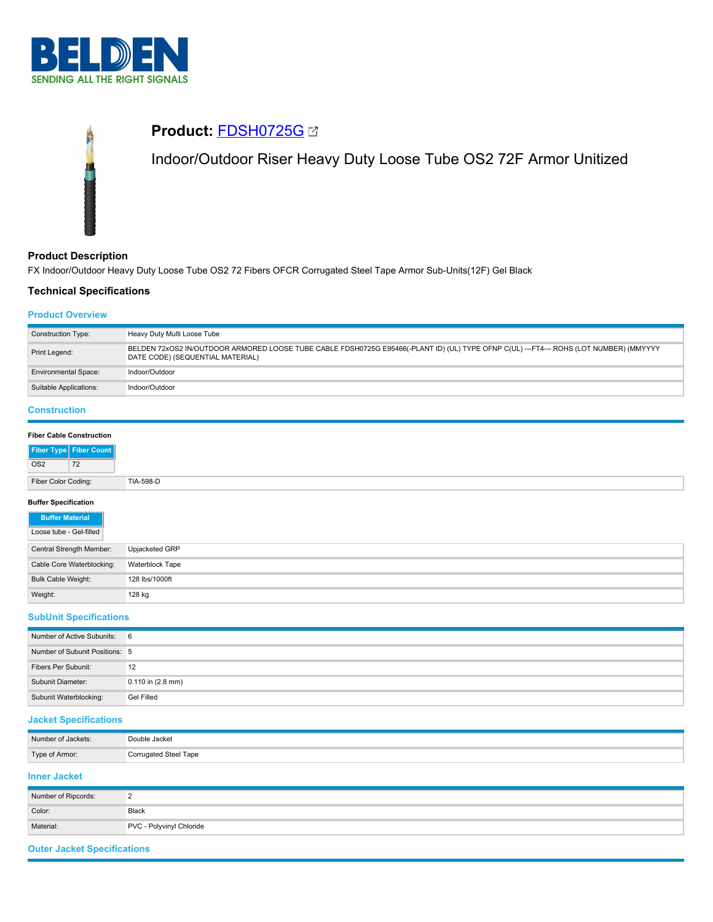



## **Product Description**

FX Indoor/Outdoor Heavy Duty Loose Tube OS2 72 Fibers OFCR Corrugated Steel Tape Armor Sub-Units(12F) Gel Black

# **Technical Specifications**

### **Product Overview**

| <b>Construction Type:</b>                                                                                                                                                                   | Heavy Duty Multi Loose Tube |  |  |
|---------------------------------------------------------------------------------------------------------------------------------------------------------------------------------------------|-----------------------------|--|--|
| BELDEN 72xOS2 IN/OUTDOOR ARMORED LOOSE TUBE CABLE FDSH0725G E95466(-PLANT ID) (UL) TYPE OFNP C(UL) ---FT4--- ROHS (LOT NUMBER) (MMYYYY<br>Print Legend:<br>DATE CODE) (SEQUENTIAL MATERIAL) |                             |  |  |
| <b>Environmental Space:</b>                                                                                                                                                                 | Indoor/Outdoor              |  |  |
| Suitable Applications:                                                                                                                                                                      | Indoor/Outdoor              |  |  |

# **Construction**

| <b>Fiber Cable Construction</b> |                        |
|---------------------------------|------------------------|
|                                 | Fiber Type Fiber Count |
| OS <sub>2</sub>                 | 72                     |
| Fiber Color Coding:             |                        |

### **Buffer Specification**

| <b>Buffer Material</b>    |                 |
|---------------------------|-----------------|
| Loose tube - Gel-filled   |                 |
| Central Strength Member:  | Upjacketed GRP  |
| Cable Core Waterblocking: | Waterblock Tape |
| Bulk Cable Weight:        | 128 lbs/1000ft  |
| Weight:                   | 128 kg          |

## **SubUnit Specifications**

| Number of Active Subunits: 6   |                       |
|--------------------------------|-----------------------|
| Number of Subunit Positions: 5 |                       |
| Fibers Per Subunit:            | 12                    |
| Subunit Diameter:              | $0.110$ in $(2.8$ mm) |
| Subunit Waterblocking:         | Gel Filled            |

## **Jacket Specifications**

| Number of Jackets: | Double Jacket         |
|--------------------|-----------------------|
| Type of Armor:     | Corrugated Steel Tape |

# **Inner Jacket**

| Number of Ripcords: |                          |
|---------------------|--------------------------|
| Color:              | Black                    |
| Material:           | PVC - Polyvinyl Chloride |

## **Outer Jacket Specifications**